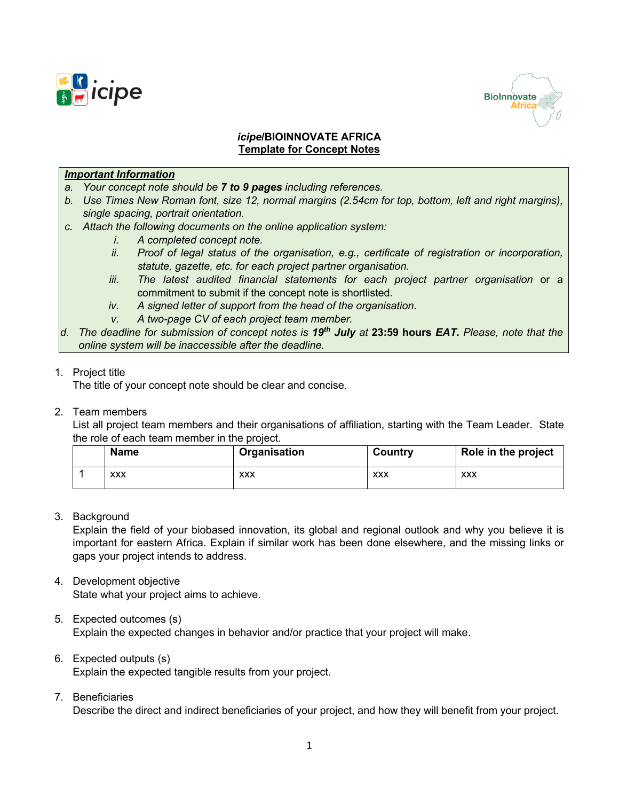



## *icipe***/BIOINNOVATE AFRICA Template for Concept Notes**

## *Important Information*

- *a. Your concept note should be 7 to 9 pages including references.*
- *b. Use Times New Roman font, size 12, normal margins (2.54cm for top, bottom, left and right margins), single spacing, portrait orientation.*
- *c. Attach the following documents on the online application system:* 
	- *i. A completed concept note.*
	- *ii. Proof of legal status of the organisation, e.g., certificate of registration or incorporation, statute, gazette, etc. for each project partner organisation.*
	- *iii. The latest audited financial statements for each project partner organisation* or a commitment to submit if the concept note is shortlisted*.*
	- *iv. A signed letter of support from the head of the organisation.*
	- *v. A two-page CV of each project team member.*
- *d. The deadline for submission of concept notes is 19th July at* **23:59 hours** *EAT. Please, note that the online system will be inaccessible after the deadline.*

## 1. Project title

The title of your concept note should be clear and concise.

#### 2. Team members

List all project team members and their organisations of affiliation, starting with the Team Leader. State the role of each team member in the project.

| Name       | Organisation | Country    | Role in the project |  |
|------------|--------------|------------|---------------------|--|
| <b>XXX</b> | xxx          | <b>XXX</b> | <b>XXX</b>          |  |

3. Background

Explain the field of your biobased innovation, its global and regional outlook and why you believe it is important for eastern Africa. Explain if similar work has been done elsewhere, and the missing links or gaps your project intends to address.

# 4. Development objective

State what your project aims to achieve.

- 5. Expected outcomes (s) Explain the expected changes in behavior and/or practice that your project will make.
- 6. Expected outputs (s) Explain the expected tangible results from your project.
- 7. Beneficiaries

Describe the direct and indirect beneficiaries of your project, and how they will benefit from your project.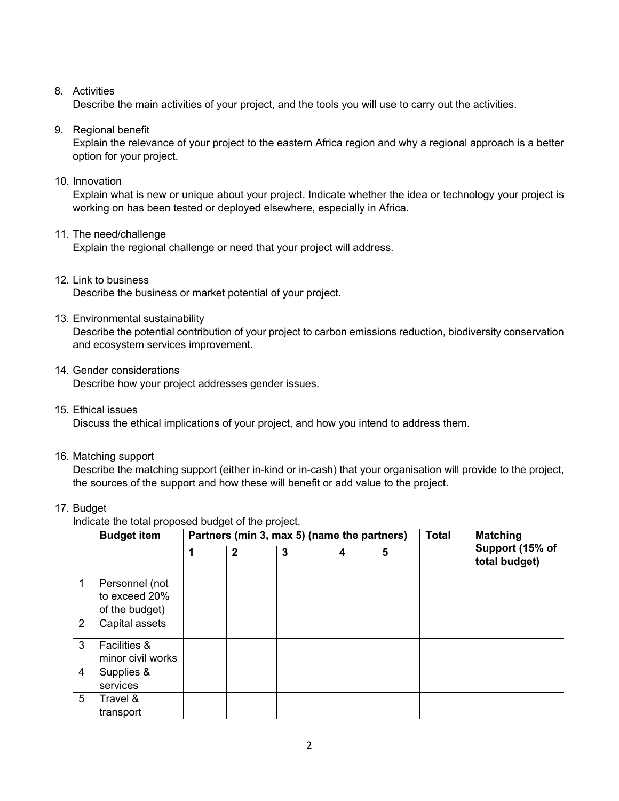# 8. Activities

Describe the main activities of your project, and the tools you will use to carry out the activities.

9. Regional benefit

Explain the relevance of your project to the eastern Africa region and why a regional approach is a better option for your project.

10. Innovation

Explain what is new or unique about your project. Indicate whether the idea or technology your project is working on has been tested or deployed elsewhere, especially in Africa.

11. The need/challenge

Explain the regional challenge or need that your project will address.

12. Link to business

Describe the business or market potential of your project.

13. Environmental sustainability

Describe the potential contribution of your project to carbon emissions reduction, biodiversity conservation and ecosystem services improvement.

- 14. Gender considerations Describe how your project addresses gender issues.
- 15. Ethical issues

Discuss the ethical implications of your project, and how you intend to address them.

16. Matching support

Describe the matching support (either in-kind or in-cash) that your organisation will provide to the project, the sources of the support and how these will benefit or add value to the project.

## 17. Budget

Indicate the total proposed budget of the project.

|                | <b>Budget item</b>      | Partners (min 3, max 5) (name the partners) |              |   |   | <b>Total</b> | <b>Matching</b> |                                  |
|----------------|-------------------------|---------------------------------------------|--------------|---|---|--------------|-----------------|----------------------------------|
|                |                         |                                             | $\mathbf{2}$ | 3 | 4 | 5            |                 | Support (15% of<br>total budget) |
| 1              | Personnel (not          |                                             |              |   |   |              |                 |                                  |
|                | to exceed 20%           |                                             |              |   |   |              |                 |                                  |
|                | of the budget)          |                                             |              |   |   |              |                 |                                  |
| $\overline{2}$ | Capital assets          |                                             |              |   |   |              |                 |                                  |
| 3              | <b>Facilities &amp;</b> |                                             |              |   |   |              |                 |                                  |
|                | minor civil works       |                                             |              |   |   |              |                 |                                  |
| $\overline{4}$ | Supplies &              |                                             |              |   |   |              |                 |                                  |
|                | services                |                                             |              |   |   |              |                 |                                  |
| 5              | Travel &                |                                             |              |   |   |              |                 |                                  |
|                | transport               |                                             |              |   |   |              |                 |                                  |